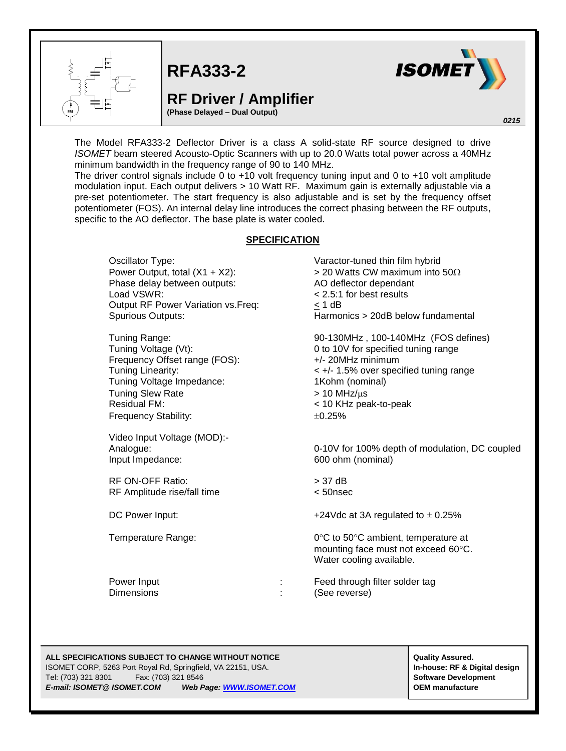

**RFA333-2**

## **RF Driver / Amplifier**

**(Phase Delayed – Dual Output)**



*0215*

The Model RFA333-2 Deflector Driver is a class A solid-state RF source designed to drive *ISOMET* beam steered Acousto-Optic Scanners with up to 20.0 Watts total power across a 40MHz minimum bandwidth in the frequency range of 90 to 140 MHz.

The driver control signals include 0 to +10 volt frequency tuning input and 0 to +10 volt amplitude modulation input. Each output delivers > 10 Watt RF. Maximum gain is externally adjustable via a pre-set potentiometer. The start frequency is also adjustable and is set by the frequency offset potentiometer (FOS). An internal delay line introduces the correct phasing between the RF outputs, specific to the AO deflector. The base plate is water cooled.

## **SPECIFICATION**

Oscillator Type: Varactor-tuned thin film hybrid Power Output, total  $(X1 + X2)$ :  $\rightarrow 20$  Watts CW maximum into 50 $\Omega$ Phase delay between outputs: AO deflector dependant Load VSWR: < 2.5:1 for best results Output RF Power Variation vs.Freq: < 1 dB Spurious Outputs: Harmonics > 20dB below fundamental

Frequency Offset range (FOS): +/- 20MHz minimum Tuning Voltage Impedance: 1Kohm (nominal) Tuning Slew Rate  $> 10$  MHz/ $\mu$ s Residual FM: < 10 KHz peak-to-peak Frequency Stability:  $\pm 0.25\%$ 

Video Input Voltage (MOD):- Input Impedance: 600 ohm (nominal)

RF ON-OFF Ratio: > 37 dB RF Amplitude rise/fall time < 50nsec

Tuning Range: 90-130MHz , 100-140MHz (FOS defines) Tuning Voltage (Vt): 0 to 10V for specified tuning range Tuning Linearity: < +/- 1.5% over specified tuning range

Analogue: 0-10V for 100% depth of modulation, DC coupled

DC Power Input:  $+24 \text{Vdc}$  at 3A regulated to  $\pm 0.25\%$ 

Temperature Range:  $0^{\circ}$ C to 50°C ambient, temperature at mounting face must not exceed 60°C. Water cooling available.

Power Input **Power Input :** Feed through filter solder tag Dimensions : (See reverse)

## **ALL SPECIFICATIONS SUBJECT TO CHANGE WITHOUT NOTICE ALL SPECIFICATIONS SUBJECT TO CHANGE WITHOUT NOTICE**

ISOMET CORP, 5263 Port Royal Rd, Springfield, VA 22151, USA. **In-house: RF & Digital design** Tel: (703) 321 8301 Fax: (703) 321 8546 **Software Development** *E-mail: ISOMET@ ISOMET.COM Web Page[: WWW.ISOMET.COM](http://www.isomet.com/)* **OEM manufacture**